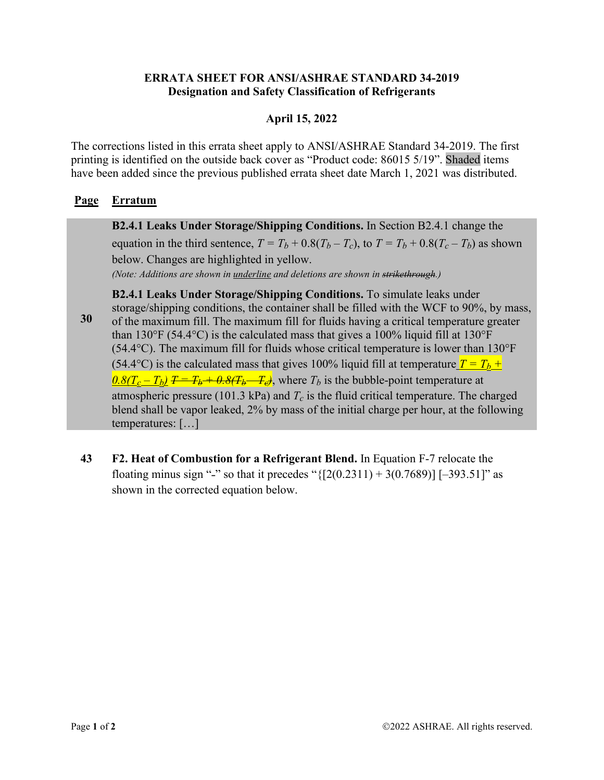## **ERRATA SHEET FOR ANSI/ASHRAE STANDARD 34-2019 Designation and Safety Classification of Refrigerants**

## **April 15, 2022**

The corrections listed in this errata sheet apply to ANSI/ASHRAE Standard 34-2019. The first printing is identified on the outside back cover as "Product code: 86015 5/19". Shaded items have been added since the previous published errata sheet date March 1, 2021 was distributed.

## **Page Erratum**

**B2.4.1 Leaks Under Storage/Shipping Conditions.** In Section B2.4.1 change the equation in the third sentence,  $T = T_b + 0.8(T_b - T_c)$ , to  $T = T_b + 0.8(T_c - T_b)$  as shown below. Changes are highlighted in yellow. *(Note: Additions are shown in underline and deletions are shown in strikethrough.)*

**30 B2.4.1 Leaks Under Storage/Shipping Conditions.** To simulate leaks under storage/shipping conditions, the container shall be filled with the WCF to 90%, by mass, of the maximum fill. The maximum fill for fluids having a critical temperature greater than 130 $\rm{^{\circ}F}$  (54.4 $\rm{^{\circ}C}$ ) is the calculated mass that gives a 100% liquid fill at 130 $\rm{^{\circ}F}$ (54.4°C). The maximum fill for fluids whose critical temperature is lower than 130°F (54.4°C) is the calculated mass that gives 100% liquid fill at temperature  $T = T_b + T_a$  $\frac{0.8(T_c-T_b)}{T-T_b} = \frac{T_b+0.8(T_b-T_c)}{T_c}$ , where  $T_b$  is the bubble-point temperature at atmospheric pressure (101.3 kPa) and  $T_c$  is the fluid critical temperature. The charged blend shall be vapor leaked, 2% by mass of the initial charge per hour, at the following temperatures: […]

**43 F2. Heat of Combustion for a Refrigerant Blend.** In Equation F-7 relocate the floating minus sign "-" so that it precedes " $\{[2(0.2311) + 3(0.7689)] [-393.51]$ " as shown in the corrected equation below.